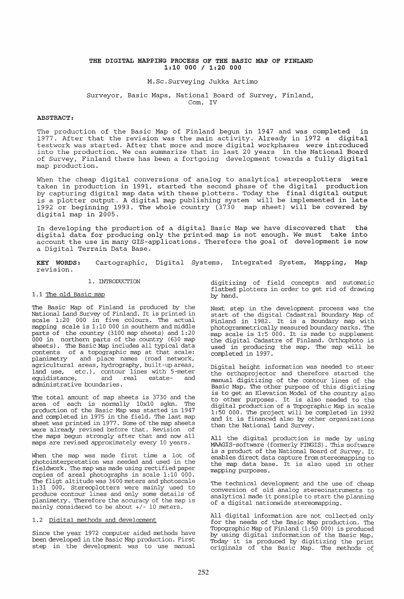# THE DIGITAL MAPPING PROCESS OF THE BASIC MAP OF FINLAND  $1:10000 / 1:2000$

# M.Sc.Surveying Jukka Artimo

# Surveyor, Basic Maps, National Board of Survey, Finland, Com. IV

#### ABSTRACT:

The production of the Basic Map of Finland begun in 1947 and was completed in 1977. After that the revision was the main activity. Already in 1972 a digital testwork was started. After that more and more digital workphases were introduced into the production. We can summarize that in last 20 years in the National Board of Survey, Finland there has been a fortgoing development towards a fully digital map production.

When the cheap digital conversions of analog to analytical stereoplotters were taken in production in 1991, started the second phase of the digital production by capturing digital map data with these plotters. Today the final digital output is a plotter output. A digital map publishing system will be implemented in late 1992 or beginning 1993. The whole country (3730 map sheet) will be covered by digital map in 2005.

In developing the production of a digital Basic Map we have discovered that the digital data for producing only the printed map is not enough. We must take into account the use in many GIS-applications. Therefore the goal of development is now a Digital Terrain Data Base.

KEY WORDS: revision. Cartographic, Digital Systems, Integrated System, Mapping, Map

#### 1. INTRODUCTION

#### 1.1 The old Basic map

The Basic Map of Finland is produced by the National Land Survey of Finland. It is printed in scale 1:20 000 in five colours. The actual mapping scale is 1:10 000 in southern and middle parts of the country (3100 map sheets) and  $1:20$ 000 in northern parts of the country (630 map sheets). The Basic Map includes all typical data contents of a topographic map at that scale: planimetry and place names (road network, agricultural areas, hydrography, built-up areas, land use, etc.), contour lines with 5-meter equidistance, and real estate- and equidistance, and real<br>administrative boundaries.

The total amount of map sheets is 3730 and the area of each is normally 10xl0 sgkm. The production of the Basic Map was started in 1947 and completed in 1975 in the field. The last map sheet was printed in 1977. Some of the map sheets were already revised before that. Revision of the maps begun strongly after that and now all maps are revised approximately every 10 years.

When the map was made first time a lot of photo interpretation was needed and used in the fieldwork. The map was made using rectified paper copies of areal photographs in scale 1:10 000. The fligt altitude was 3600 meters and photoscale 1:31 000. Stereoplotters were mainly used to produce contour lines and only some details of planimetry. Therefore the accuracy of the map is mainly considered to be about +/- 10 meters.

# 1.2 Digital methods and development

Since the year 1972 computer aided methods have been developed in the Basic Map production. First step in the development was to use manual digitizing of field concepts and automatic flatbed plotters in order to get rid of drawing by hand.

Next step in the development process was the start of the digital Cadastral Boundary Map of Finland in 1982. It is a Boundary map with photogrammetrically measured boundary marks. The map scale is 1:5 000. It is made to supplement the digital Cadastre of Finland. Orthophoto is used in producing the map. The map will be completed in 1997.

Digital height information was needed to steer the orthoprojector and therefore started the manual digitizing of the contour lines of the Basic Map. The other purpose of this digitizing is to get an Elevation Model of the country also to other purposes. It is also needed to the digital production of a Topographic Map in scale 1:50 000. The project will be completed in 1992 and it is financed also by other organizations than the National Land Survey.

All the digital production is made by using MAAGIS-software (formerly FINGIS) . This software is a product of the National Board of Survey. It enables direct data capture from stereomapping to the map data base. It is also used in other mapping purposes.

The technical development and the use of cheap conversion of old analog stereoinstruments to analytical made it possiple to start the planning of a digital nationwide stereomapping.

All digital information are not collected only for the needs of the Basic Map production. The Topographic Map of Finland (1 :50 000) is produced by using digital information of the Basic Map. Today it is produced by digitizing the print originals of the Basic Map. The methods of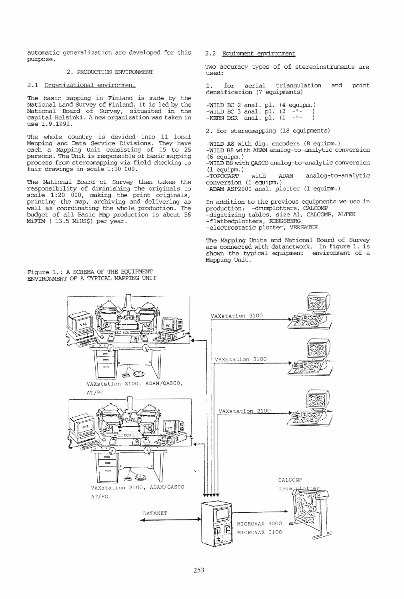automatic generalization are developed for this purpose.

# 2. PRODUCTION ENVIRONMENT

#### 2.1 Organizational environment

The basic mapping in Finland is made by the National Land Survey of Finland. It is led by the National Board of Survey, situaited in the capital Helsinki. A new organization was taken in use 1.9.1991.

The whole country is devided into 11 local Mapping and Data Service Divisions. They have each a Mapping Unit consisting of 15 to 25 persons. The Unit is responsible of basic mapping process from stereomapping via field checking to fair drawings in scale 1:10 000.

The National Board of Survey then takes the responsibility of diminishing the originals to scale 1:20 000, making the print originals, printing the map, archiving and delivering as well as coordinating the whole production. The budget of all Basic Map production is about 56 MiFIM ( 13.5 MiUS\$) per year.

2.2 Equipment environment

Two accuracy types of of stereoinstruments are used:

1. for aerial triangulation and densification (7 equipments) point

-WILD BC 2 anal. pl. (4 equipm.) **-WILD BC 3 anal. pl. (2 \_11- )**  -KERN DSR anal. pl.  $(1$ 

2. for stereomapping (18 equipments)

-WILD A8 with dig. encoders (8 equipm.) -WILD B8 with ADAM analog-to-analytic conversion (6 equipm.)

-WILD B8 with QASCO analog-to-analytic conversion (1 equipm.)

with ADAM analog-to-analytic conversion (1 equipm.) -ADAM ASP2000 anal. plotter (1 equipm.)

In addition to the previous equipments we use in production: -drumplot ters , CALCOMP -digitizing tables, size A1, CALCOMP, ALTEK -flatbedplotters, KONGSBERG -electrostatic plotter, VERSATEK

The Mapping Units and National Board of Survey are connected with datanetwork. In figure 1. is shown the typical equipment environment of a Mapping Unit.



Figure 1.: A SCHEMA OF THE EQUIPMENT ENVIRONMENT OF A TYPICAL MAPPING UNIT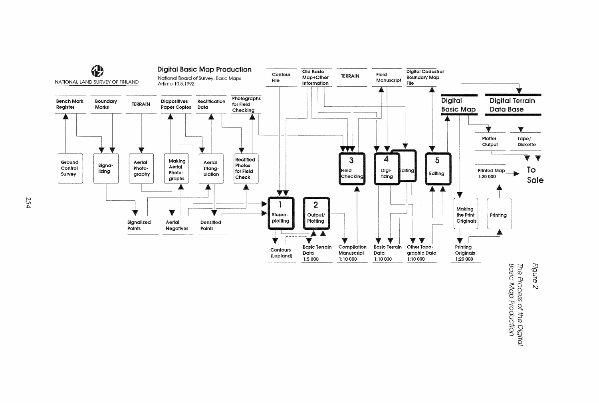

Figure  $\sim$ 

The Process of the Digital<br>Basic Map Production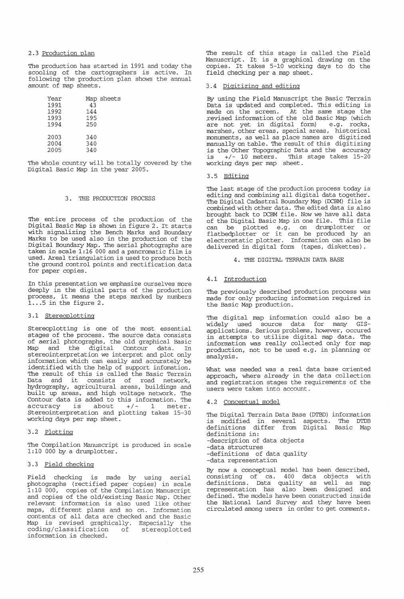# 2.3 Production plan

The production has started in 1991 and today the scooling of the cartographers is active. In following the production plan shows the annual amount of map sheets.

| Year<br>1991<br>1992<br>1993<br>1994 | 43<br>144<br>195<br>250 | Map sheets |
|--------------------------------------|-------------------------|------------|
| 2003<br>2004<br>2005                 | 340<br>340<br>340       |            |

The whole country will be totally covered by the Digital Basic Map in the year 2005.

# 3. THE PRODUCTION PROCESS

The entire process of the production of the Digital Basic Map is shown in figure 2. It starts with signalizing the Bench Marks and Boundary Marks to be used also in the production of the Digital Boundary Map. The aerial photographs are taken in scale 1:16 000 and a pancromatic film is used. Areal triangulation is used to produce both the ground control points and rectification data for paper copies.

In this presentation we emphasize ourselves more deeply in the digital parts of the production process, it means the steps marked by numbers 1 ... 5 in the figure 2.

#### 3.1 Stereoplotting

Stereoplotting is one of the most essential stages of the process. The source data consists of aerial photographs, the old graphical Basic Map and the digital Contour data. In stereointerpretation we interpret and plot only information which can easily and accurately be identified with the help of support infomation. The result of this is called the Basic Terrain<br>Data and it consists of road network. and it consists of road network, hydrography, agricultural areas, buildings and built up areas., and high voltage network. The Contour data is added to this information. The accuracy is about +/- 1 meter. accuracy is about  $+/-$  1 meter.<br>Stereointerpretation and plotting takes 15-30 working days per map sheet.

# 3.2 Plotting

The Compilation Manuscript is produced in scale 1:10 000 by a drumplotter.

# 3.3 Field checking

Field checking is made by using aerial photographs (rectified paper copies) in scale 1:10 000, copies of the Compilation Manuscript and copies of the old/existing Basic Map. Other relevant information is also used like other maps, different plans and so on. Information contents of all data are checked and the Basic Map is revised graphically. Especially the coding/classification of stereoplotted coding/classification<br>information is checked.

The result of this stage is called the Field Manuscript. It is a graphical drawing on the copies. It takes 5-10 working. days to do the field checking per a map sheet.

#### 3.4 Digitizing and editing

By using the Field Manuscript the Basic Terrain Data is updated and completed. This editing is made on the screen. At the same stage the revised information of the old Basic Map (which are not yet in digital form) e.g. rocks, marshes, other ereas, special areas, historical monuments, as well as place names are digitized manually on table. The result of this digitizing is the Other Topographic Data and the  $\arccos$  is  $+/-$  10 meters. This stage takes 15-20 This stage takes  $15-20$ working days per map sheet.

# 3.5 Editing

The last stage of the production process today is editing and combining all digital data together. The Digital Cadastral Boundary Map (DCBM) file is combined with other data. The edited data is also brought back to DCBM file. Now we have all data can be plotted e.g. on drumplotter or flatbedplotter or it can be produced by an electrostatic plotter. Information can also be delivered in digital form (tapes, diskettes).

### 4. THE DIGITAL TERRAIN DATA BASE

#### 4.1 Introduction

The previously described production process was made for only producing information required in the Basic Map production.

The digital map information could also be a widely used source data for many GISapplications. Serious problems, however, occured in attempts to utilize digital map data. The information was really collected only for map production, not to be used e.g. in planning or analysis.

What was needed was a real data base oriented approach, where already in the data collection and registration stages the requirements of the users were taken into account.

### 4.2 Conceptual model

The Digital Terrain Data Base (DTBD) information is modified in several aspects. The DTDB definitions differ from Digital Basic Map definitions in: -description of data objects -data structures -definitions of data quality -data representation

By now a conceptual model has been described, consisting of ca. 400 data objects with definitions. Data quality as well as map representation has also been designed and defined. The models have been constructed inside the National Land Survey and they have been circulated among users in order to get comments.